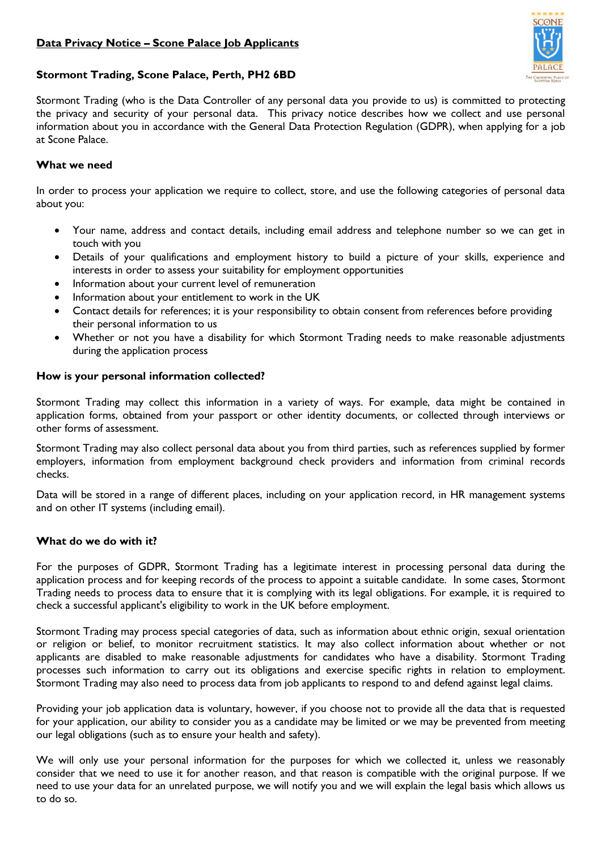

# Stormont Trading, Scone Palace, Perth, PH2 6BD

Stormont Trading (who is the Data Controller of any personal data you provide to us) is committed to protecting the privacy and security of your personal data. This privacy notice describes how we collect and use personal information about you in accordance with the General Data Protection Regulation (GDPR), when applying for a job at Scone Palace.

# What we need

In order to process your application we require to collect, store, and use the following categories of personal data about you:

- Your name, address and contact details, including email address and telephone number so we can get in touch with you
- Details of your qualifications and employment history to build a picture of your skills, experience and interests in order to assess your suitability for employment opportunities
- Information about your current level of remuneration
- Information about your entitlement to work in the UK
- Contact details for references; it is your responsibility to obtain consent from references before providing their personal information to us
- Whether or not you have a disability for which Stormont Trading needs to make reasonable adjustments during the application process

## How is your personal information collected?

Stormont Trading may collect this information in a variety of ways. For example, data might be contained in application forms, obtained from your passport or other identity documents, or collected through interviews or other forms of assessment.

Stormont Trading may also collect personal data about you from third parties, such as references supplied by former employers, information from employment background check providers and information from criminal records checks.

Data will be stored in a range of different places, including on your application record, in HR management systems and on other IT systems (including email).

## What do we do with it?

For the purposes of GDPR, Stormont Trading has a legitimate interest in processing personal data during the application process and for keeping records of the process to appoint a suitable candidate. In some cases, Stormont Trading needs to process data to ensure that it is complying with its legal obligations. For example, it is required to check a successful applicant's eligibility to work in the UK before employment.

Stormont Trading may process special categories of data, such as information about ethnic origin, sexual orientation or religion or belief, to monitor recruitment statistics. It may also collect information about whether or not applicants are disabled to make reasonable adjustments for candidates who have a disability. Stormont Trading processes such information to carry out its obligations and exercise specific rights in relation to employment. Stormont Trading may also need to process data from job applicants to respond to and defend against legal claims.

Providing your job application data is voluntary, however, if you choose not to provide all the data that is requested for your application, our ability to consider you as a candidate may be limited or we may be prevented from meeting our legal obligations (such as to ensure your health and safety).

We will only use your personal information for the purposes for which we collected it, unless we reasonably consider that we need to use it for another reason, and that reason is compatible with the original purpose. If we need to use your data for an unrelated purpose, we will notify you and we will explain the legal basis which allows us to do so.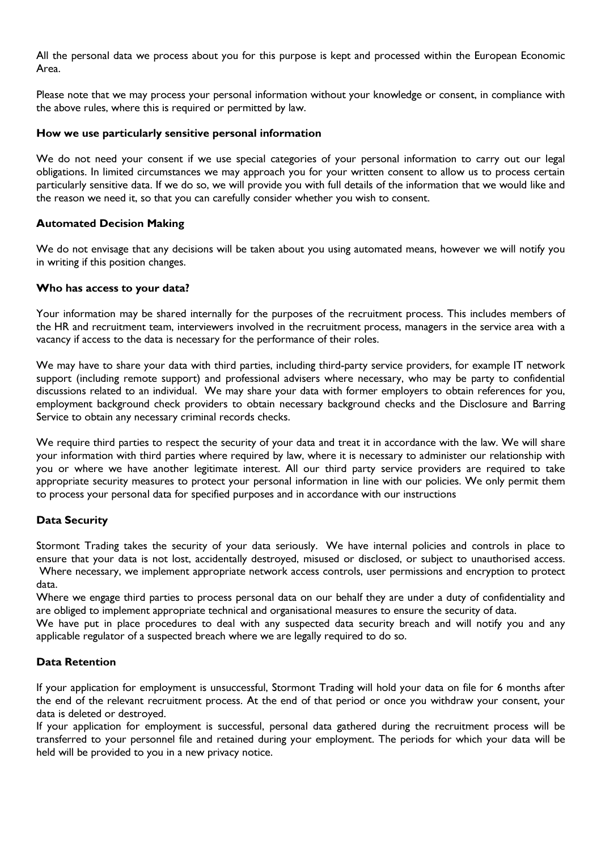All the personal data we process about you for this purpose is kept and processed within the European Economic Area.

Please note that we may process your personal information without your knowledge or consent, in compliance with the above rules, where this is required or permitted by law.

#### How we use particularly sensitive personal information

We do not need your consent if we use special categories of your personal information to carry out our legal obligations. In limited circumstances we may approach you for your written consent to allow us to process certain particularly sensitive data. If we do so, we will provide you with full details of the information that we would like and the reason we need it, so that you can carefully consider whether you wish to consent.

#### Automated Decision Making

We do not envisage that any decisions will be taken about you using automated means, however we will notify you in writing if this position changes.

#### Who has access to your data?

Your information may be shared internally for the purposes of the recruitment process. This includes members of the HR and recruitment team, interviewers involved in the recruitment process, managers in the service area with a vacancy if access to the data is necessary for the performance of their roles.

We may have to share your data with third parties, including third-party service providers, for example IT network support (including remote support) and professional advisers where necessary, who may be party to confidential discussions related to an individual. We may share your data with former employers to obtain references for you, employment background check providers to obtain necessary background checks and the Disclosure and Barring Service to obtain any necessary criminal records checks.

We require third parties to respect the security of your data and treat it in accordance with the law. We will share your information with third parties where required by law, where it is necessary to administer our relationship with you or where we have another legitimate interest. All our third party service providers are required to take appropriate security measures to protect your personal information in line with our policies. We only permit them to process your personal data for specified purposes and in accordance with our instructions

### Data Security

Stormont Trading takes the security of your data seriously. We have internal policies and controls in place to ensure that your data is not lost, accidentally destroyed, misused or disclosed, or subject to unauthorised access. Where necessary, we implement appropriate network access controls, user permissions and encryption to protect data.

Where we engage third parties to process personal data on our behalf they are under a duty of confidentiality and are obliged to implement appropriate technical and organisational measures to ensure the security of data.

We have put in place procedures to deal with any suspected data security breach and will notify you and any applicable regulator of a suspected breach where we are legally required to do so.

### Data Retention

If your application for employment is unsuccessful, Stormont Trading will hold your data on file for 6 months after the end of the relevant recruitment process. At the end of that period or once you withdraw your consent, your data is deleted or destroyed.

If your application for employment is successful, personal data gathered during the recruitment process will be transferred to your personnel file and retained during your employment. The periods for which your data will be held will be provided to you in a new privacy notice.